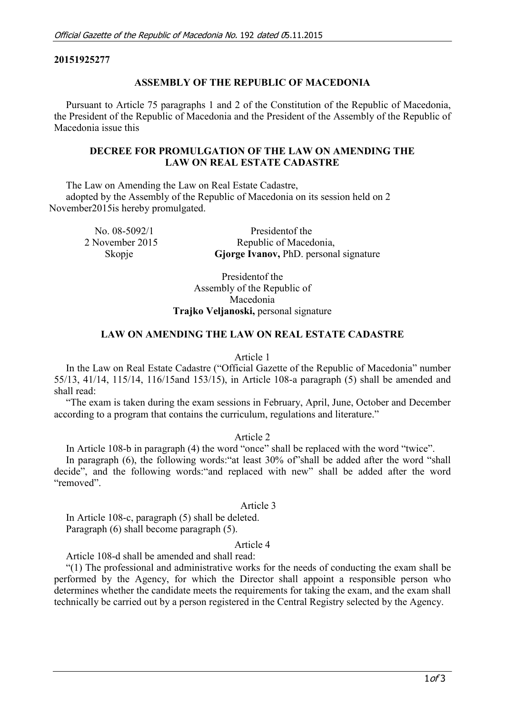## **20151925277**

### **ASSEMBLY OF THE REPUBLIC OF MACEDONIA**

Pursuant to Article 75 paragraphs 1 and 2 of the Constitution of the Republic of Macedonia, the President of the Republic of Macedonia and the President of the Assembly of the Republic of Macedonia issue this

## **DECREE FOR PROMULGATION OF THE LAW ON AMENDING THE LAW ON REAL ESTATE CADASTRE**

The Law on Amending the Law on Real Estate Cadastre, adopted by the Assembly of the Republic of Macedonia on its session held on 2 November2015is hereby promulgated.

| No. $08-5092/1$ | President of the                       |
|-----------------|----------------------------------------|
| 2 November 2015 | Republic of Macedonia,                 |
| Skopje          | Gjorge Ivanov, PhD. personal signature |

Presidentof the Assembly of the Republic of Macedonia **Trajko Veljanoski,** personal signature

## **LAW ON AMENDING THE LAW ON REAL ESTATE CADASTRE**

Article 1

In the Law on Real Estate Cadastre ("Official Gazette of the Republic of Macedonia" number 55/13, 41/14, 115/14, 116/15and 153/15), in Article 108-a paragraph (5) shall be amended and shall read:

"The exam is taken during the exam sessions in February, April, June, October and December according to a program that contains the curriculum, regulations and literature."

Article 2

In Article 108-b in paragraph (4) the word "once" shall be replaced with the word "twice".

In paragraph (6), the following words:"at least 30% of"shall be added after the word "shall decide", and the following words:"and replaced with new" shall be added after the word "removed".

## Article 3

In Article 108-c, paragraph (5) shall be deleted. Paragraph (6) shall become paragraph (5).

#### Article 4

Article 108-d shall be amended and shall read:

"(1) The professional and administrative works for the needs of conducting the exam shall be performed by the Agency, for which the Director shall appoint a responsible person who determines whether the candidate meets the requirements for taking the exam, and the exam shall technically be carried out by a person registered in the Central Registry selected by the Agency.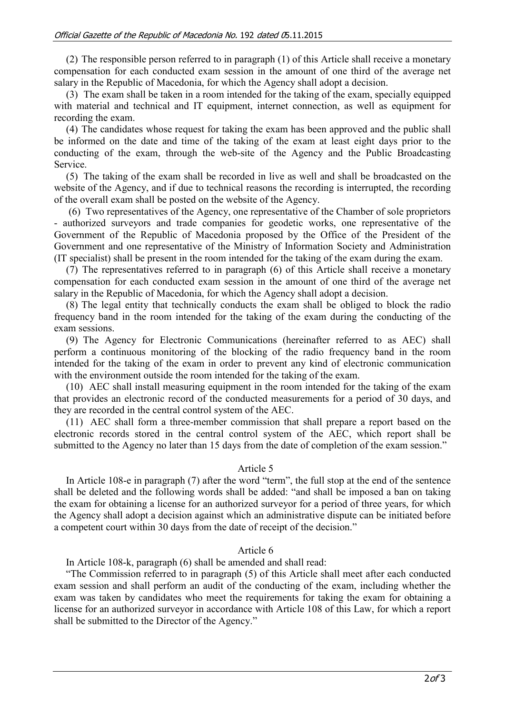(2) The responsible person referred to in paragraph (1) of this Article shall receive a monetary compensation for each conducted exam session in the amount of one third of the average net salary in the Republic of Macedonia, for which the Agency shall adopt a decision.

(3) The exam shall be taken in a room intended for the taking of the exam, specially equipped with material and technical and IT equipment, internet connection, as well as equipment for recording the exam.

(4) The candidates whose request for taking the exam has been approved and the public shall be informed on the date and time of the taking of the exam at least eight days prior to the conducting of the exam, through the web-site of the Agency and the Public Broadcasting Service.

(5) The taking of the exam shall be recorded in live as well and shall be broadcasted on the website of the Agency, and if due to technical reasons the recording is interrupted, the recording of the overall exam shall be posted on the website of the Agency.

(6) Two representatives of the Agency, one representative of the Chamber of sole proprietors - authorized surveyors and trade companies for geodetic works, one representative of the Government of the Republic of Macedonia proposed by the Office of the President of the Government and one representative of the Ministry of Information Society and Administration (IT specialist) shall be present in the room intended for the taking of the exam during the exam.

(7) The representatives referred to in paragraph (6) of this Article shall receive a monetary compensation for each conducted exam session in the amount of one third of the average net salary in the Republic of Macedonia, for which the Agency shall adopt a decision.

(8) The legal entity that technically conducts the exam shall be obliged to block the radio frequency band in the room intended for the taking of the exam during the conducting of the exam sessions.

(9) The Agency for Electronic Communications (hereinafter referred to as AEC) shall perform a continuous monitoring of the blocking of the radio frequency band in the room intended for the taking of the exam in order to prevent any kind of electronic communication with the environment outside the room intended for the taking of the exam.

(10) AEC shall install measuring equipment in the room intended for the taking of the exam that provides an electronic record of the conducted measurements for a period of 30 days, and they are recorded in the central control system of the AEC.

(11) AEC shall form a three-member commission that shall prepare a report based on the electronic records stored in the central control system of the AEC, which report shall be submitted to the Agency no later than 15 days from the date of completion of the exam session."

## Article 5

In Article 108-e in paragraph (7) after the word "term", the full stop at the end of the sentence shall be deleted and the following words shall be added: "and shall be imposed a ban on taking the exam for obtaining a license for an authorized surveyor for a period of three years, for which the Agency shall adopt a decision against which an administrative dispute can be initiated before a competent court within 30 days from the date of receipt of the decision."

## Article 6

In Article 108-k, paragraph (6) shall be amended and shall read:

"The Commission referred to in paragraph (5) of this Article shall meet after each conducted exam session and shall perform an audit of the conducting of the exam, including whether the exam was taken by candidates who meet the requirements for taking the exam for obtaining a license for an authorized surveyor in accordance with Article 108 of this Law, for which a report shall be submitted to the Director of the Agency."